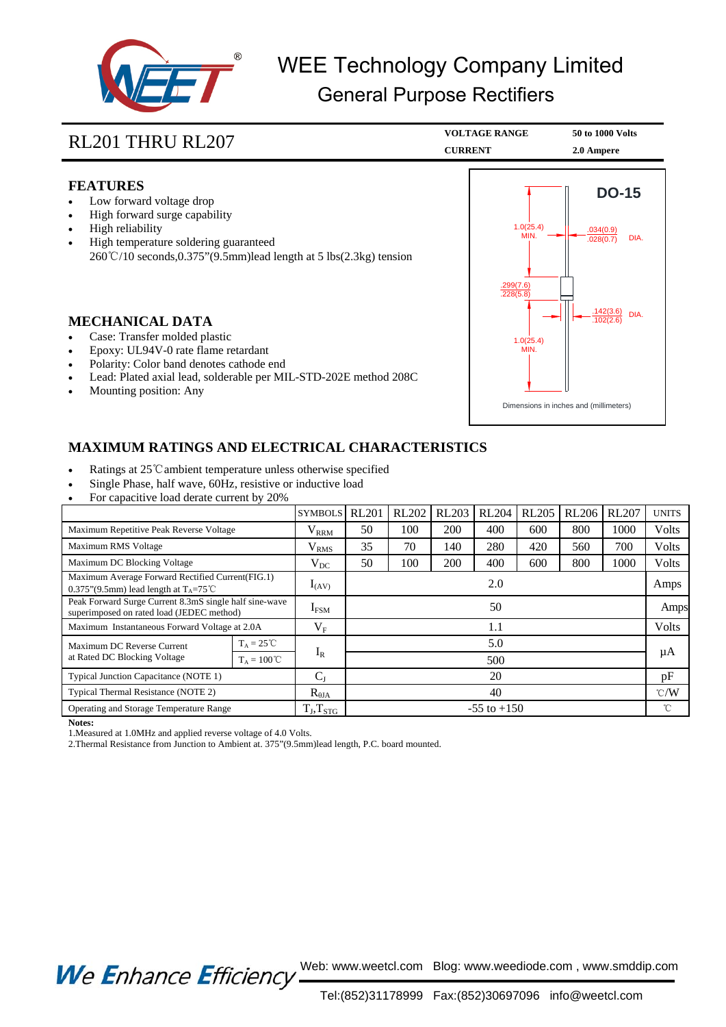

## WEE Technology Company Limited General Purpose Rectifiers

| RL201 THRU RL207                                                                                                                                                                                                                                                                                    | <b>VOLTAGE RANGE</b><br><b>CURRENT</b>      | 50 to 1000 Volts<br>2.0 Ampere                                           |  |
|-----------------------------------------------------------------------------------------------------------------------------------------------------------------------------------------------------------------------------------------------------------------------------------------------------|---------------------------------------------|--------------------------------------------------------------------------|--|
| <b>FEATURES</b><br>Low forward voltage drop<br>High forward surge capability<br>High reliability<br>٠<br>High temperature soldering guaranteed<br>$260^{\circ}\text{C}/10$ seconds, 0.375" (9.5mm) lead length at 5 lbs (2.3kg) tension                                                             | 1.0(25.4)<br><b>MIN</b>                     | <b>DO-15</b><br>.034(0.9)<br>DIA.<br>.028(0.7)                           |  |
| <b>MECHANICAL DATA</b><br>Case: Transfer molded plastic<br>Epoxy: UL94V-0 rate flame retardant<br>Polarity: Color band denotes cathode end<br>٠<br>Lead: Plated axial lead, solderable per MIL-STD-202E method 208C<br>Mounting position: Any                                                       | .299(7.6)<br>.228(5.8)<br>1.0(25.4)<br>MIN. | .142(3.6)<br>DIA.<br>.102(2.6)<br>Dimensions in inches and (millimeters) |  |
| <b>MAXIMUM RATINGS AND ELECTRICAL CHARACTERISTICS</b><br>Ratings at 25 °C ambient temperature unless otherwise specified<br>٠<br>Single Phase, half wave, 60Hz, resistive or inductive load<br>For capacitive load derate current by 20%<br>SYMPOLS BL201 BL202 BL202 BL204 BL205 BL206 BL206 BL207 |                                             |                                                                          |  |

|                                                                                                       |                      | <b>SYMBOLS</b>    | <b>RL201</b>    | <b>RL202</b> | <b>RL203</b> | <b>RL204</b> | <b>RL205</b> | <b>RL206</b> | <b>RL207</b>  | <b>UNITS</b> |
|-------------------------------------------------------------------------------------------------------|----------------------|-------------------|-----------------|--------------|--------------|--------------|--------------|--------------|---------------|--------------|
| Maximum Repetitive Peak Reverse Voltage                                                               |                      | $\rm V_{\rm RRM}$ | 50              | 100          | 200          | 400          | 600          | 800          | 1000          | Volts        |
| Maximum RMS Voltage                                                                                   |                      | $\rm V_{RMS}$     | 35              | 70           | 140          | 280          | 420          | 560          | 700           | Volts        |
| Maximum DC Blocking Voltage                                                                           |                      | $\rm V_{DC}$      | 50              | 100          | 200          | 400          | 600          | 800          | 1000          | Volts        |
| Maximum Average Forward Rectified Current(FIG.1)<br>0.375"(9.5mm) lead length at $T_A = 75^{\circ}$ C |                      | $I_{(AV)}$        | 2.0             |              |              |              |              |              |               | Amps         |
| Peak Forward Surge Current 8.3mS single half sine-wave<br>superimposed on rated load (JEDEC method)   |                      | $I_{\rm{FSM}}$    | 50              |              |              |              |              |              |               | Amps         |
| Maximum Instantaneous Forward Voltage at 2.0A                                                         |                      | $V_{\rm F}$       | 1.1             |              |              |              |              |              | Volts         |              |
| Maximum DC Reverse Current<br>at Rated DC Blocking Voltage                                            | $T_A = 25^{\circ}C$  |                   | 5.0             |              |              |              |              |              | μA            |              |
|                                                                                                       | $T_A = 100^{\circ}C$ | $I_R$             | 500             |              |              |              |              |              |               |              |
| Typical Junction Capacitance (NOTE 1)                                                                 |                      | $C_{J}$           | 20              |              |              |              |              |              | pF            |              |
| Typical Thermal Resistance (NOTE 2)                                                                   |                      | $R_{\theta JA}$   | 40              |              |              |              |              |              | $\degree$ C/W |              |
| Operating and Storage Temperature Range                                                               |                      | $T_J, T_{STG}$    | $-55$ to $+150$ |              |              |              |              |              | °C            |              |

**Notes:**

1.Measured at 1.0MHz and applied reverse voltage of 4.0 Volts.

2.Thermal Resistance from Junction to Ambient at. 375"(9.5mm)lead length, P.C. board mounted.

We Enhance Efficiency Web: www.weetcl.com Blog: www.weediode.com, www.smddip.com